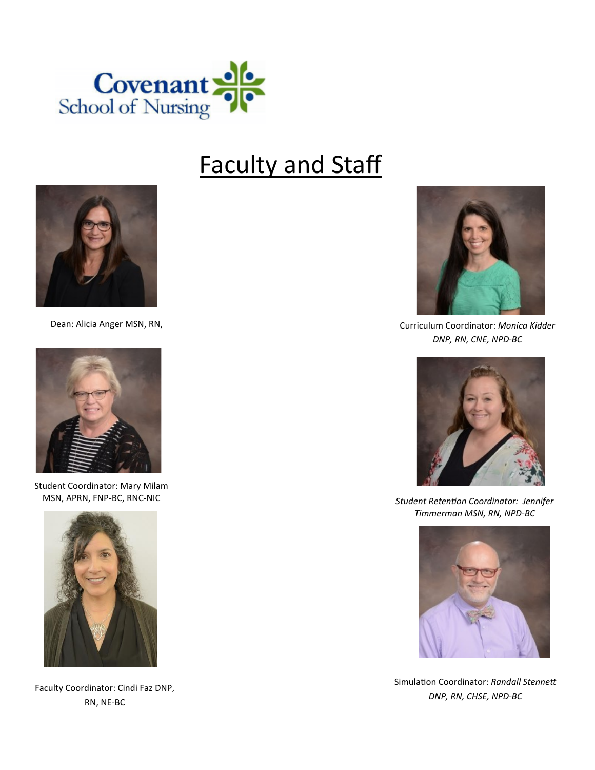

Dean: Alicia Anger MSN, RN,



Student Coordinator: Mary Milam MSN, APRN, FNP-BC, RNC-NIC



Faculty Coordinator: Cindi Faz DNP, RN, NE-BC

#### Faculty and Staff



Curriculum Coordinator: *Monica Kidder DNP, RN, CNE, NPD-BC*



*Student Retention Coordinator: Jennifer Timmerman MSN, RN, NPD-BC*



Simulation Coordinator: *Randall Stennett DNP, RN, CHSE, NPD-BC*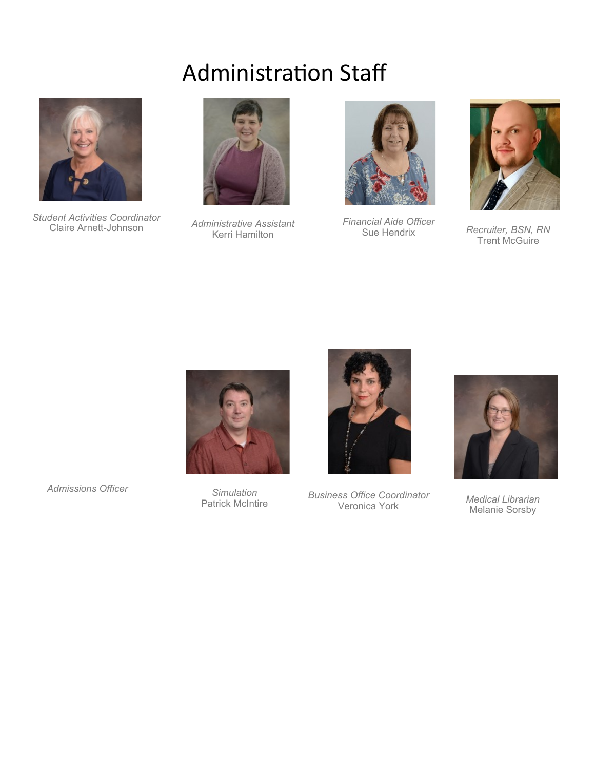#### Administration Staff



*Student Activities Coordinator*



Claire Arnett-Johnson *Administrative Assistant* Kerri Hamilton



*Financial Aide Officer*



 $Recruiter, BSN, RN$ Trent McGuire



*Simulation* Patrick McIntire



*Admissions Officer Business Office Coordinator*



**Medical Librarian** Melanie Sorsby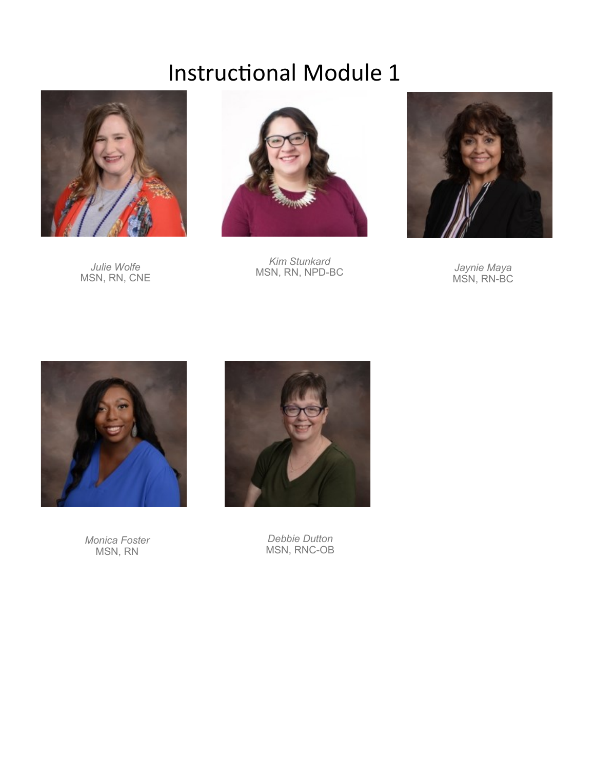

*Julie Wolfe* MSN, RN, CNE



*Kim Stunkard* MSN, RN, NPD-BC *Jaynie Maya*



Jaynie Maya<br>MSN, RN-BC



*Monica Foster* MSN, RN



*Debbie Dutton* MSN, RNC-OB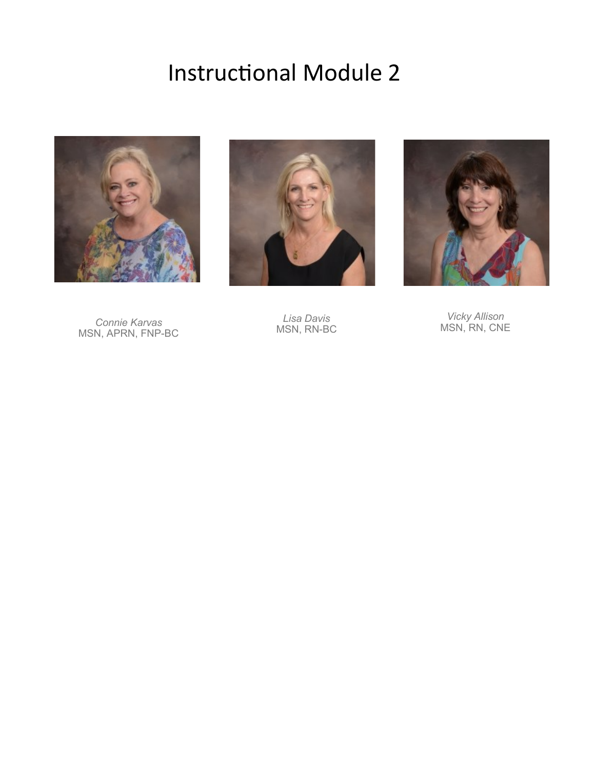





*Connie Karvas* MSN, APRN, FNP-BC

*Lisa Davis* MSN, RN-BC

*Vicky Allison* MSN, RN, CNE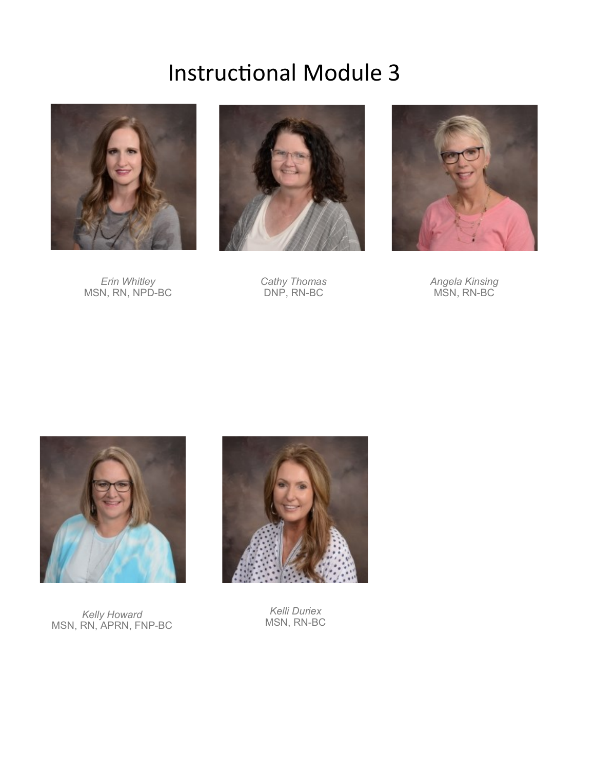

*Erin Whitley* MSN, RN, NPD-BC



*Cathy Thomas* DNP, RN-BC



*Angela Kinsing* MSN, RN-BC



*Kelly Howard* MSN, RN, APRN, FNP-BC



*Kelli Duriex* MSN, RN-BC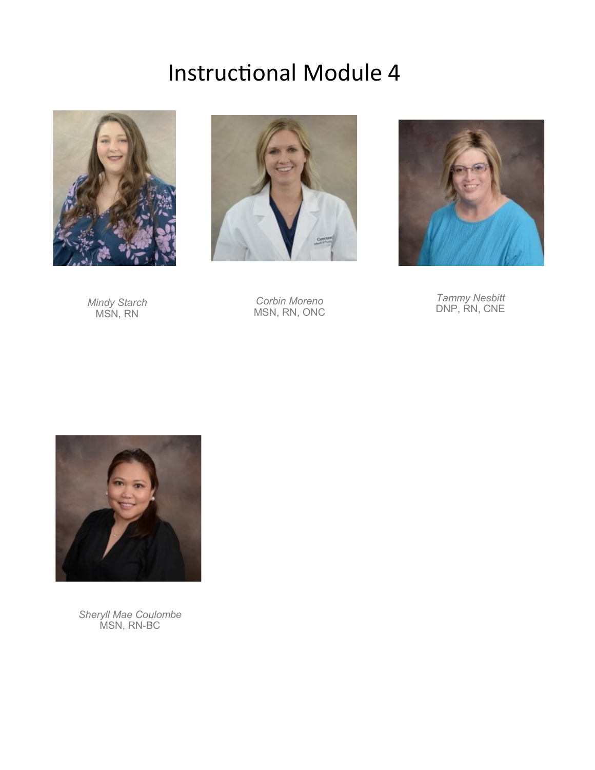

*Mindy Starch* MSN, RN



*Corbin Moreno* MSN, RN, ONC



*Tammy Nesbitt* DNP, RN, CNE



*Sheryll Mae Coulombe* MSN, RN-BC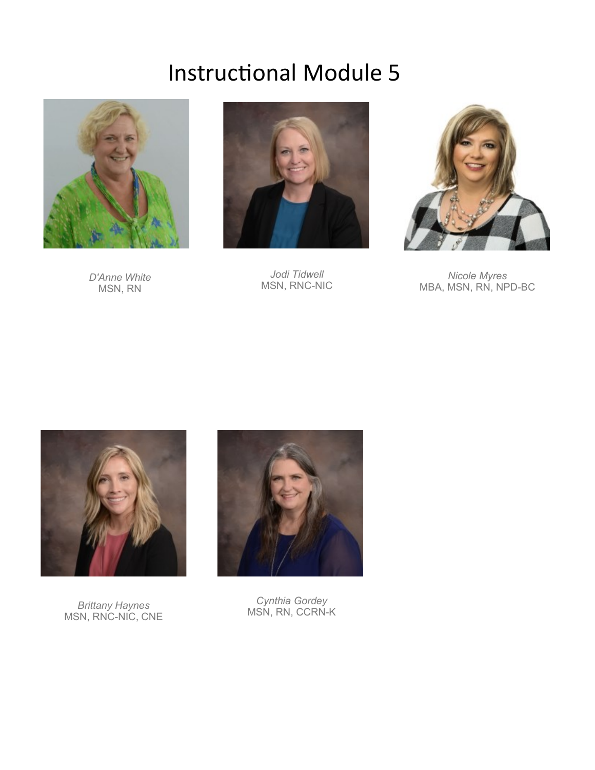

*D'Anne White* MSN, RN



*Jodi Tidwell* MSN, RNC-NIC



*Nicole Myres* MBA, MSN, RN, NPD-BC



*Brittany Haynes* MSN, RNC-NIC, CNE



*Cynthia Gordey* MSN, RN, CCRN-K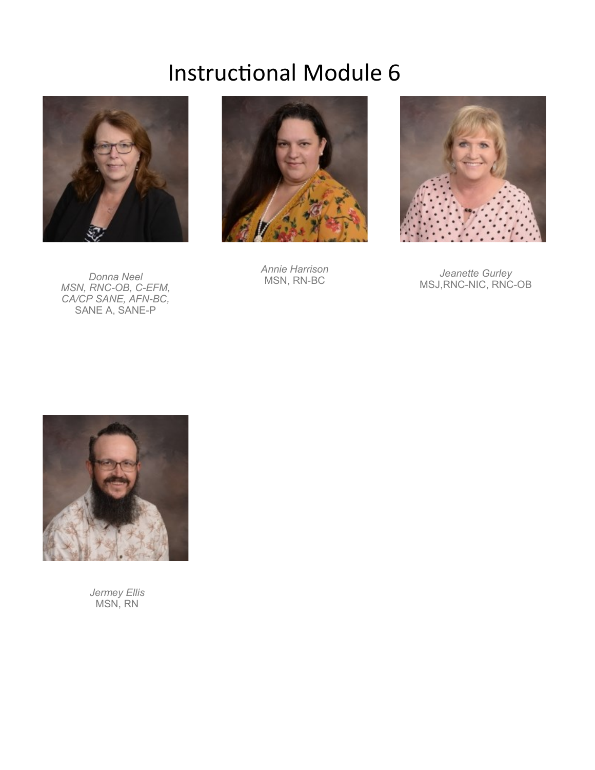

*Donna Neel MSN, RNC-OB, C-EFM, CA/CP SANE, AFN-BC,* SANE A, SANE-P



*Annie Harrison*



MSN, RN-BC *Jeanette Gurley* MSJ,RNC-NIC, RNC-OB



*Jermey Ellis* MSN, RN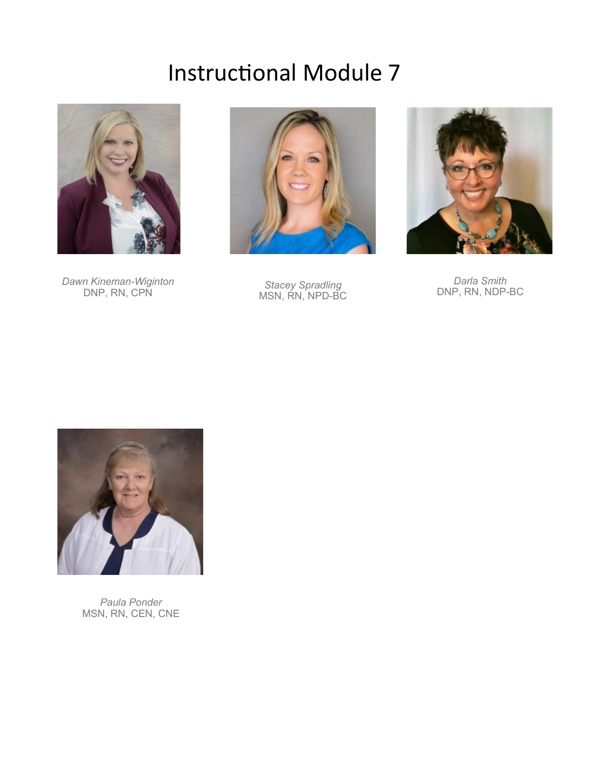

*Dawn Kineman-Wiginton* DNP, RN, CPN



*Stacey Spradling* MSN, RN, NPD-BC



*Darla Smith* DNP, RN, NDP-BC



*Paula Ponder* MSN, RN, CEN, CNE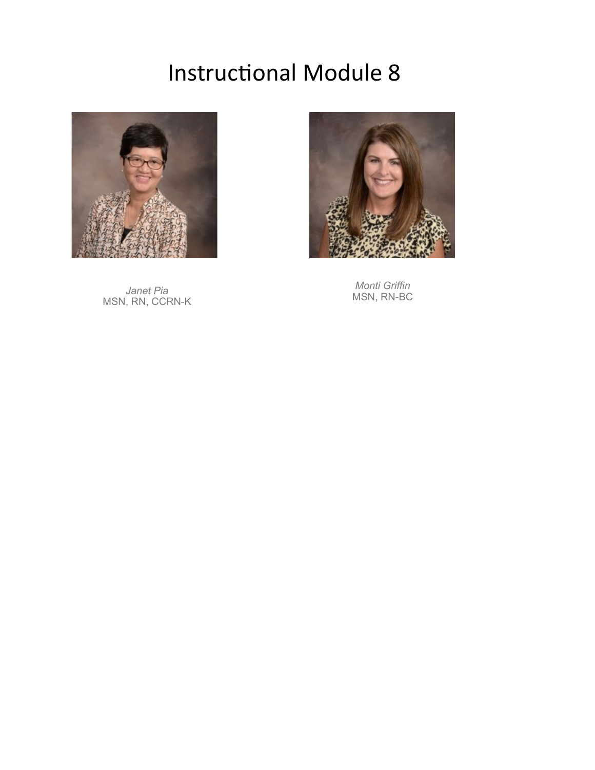

*Janet Pia* MSN, RN, CCRN-K



*Monti Griffin* MSN, RN-BC